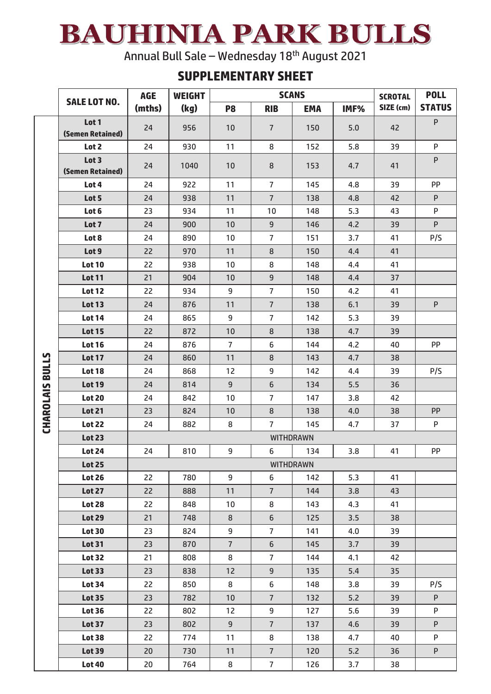## BAUHINIA PARK BULLS

Annual Bull Sale – Wednesday 18th August 2021

## **SUPPLEMENTARY SHEET**

|                        |                           | <b>SCANS</b><br><b>AGE</b><br><b>WEIGHT</b> |      |                |                  |            | <b>SCROTAL</b> | <b>POLL</b> |               |  |  |
|------------------------|---------------------------|---------------------------------------------|------|----------------|------------------|------------|----------------|-------------|---------------|--|--|
|                        | <b>SALE LOT NO.</b>       | (mths)                                      | (kg) | P <sub>8</sub> | <b>RIB</b>       | <b>EMA</b> | IMF%           | SIZE (cm)   | <b>STATUS</b> |  |  |
|                        | Lot 1<br>(Semen Retained) | 24                                          | 956  | 10             | $\overline{7}$   | 150        | 5.0            | 42          | P             |  |  |
|                        | Lot 2                     | 24                                          | 930  | 11             | 8                | 152        | 5.8            | 39          | P             |  |  |
|                        | Lot 3                     |                                             |      |                |                  |            |                |             | P             |  |  |
|                        | (Semen Retained)          | 24                                          | 1040 | 10             | 8                | 153        | 4.7            | 41          |               |  |  |
|                        | Lot 4                     | 24                                          | 922  | 11             | $\overline{7}$   | 145        | 4.8            | 39          | PP            |  |  |
|                        | Lot 5                     | 24                                          | 938  | 11             | $\overline{7}$   | 138        | 4.8            | 42          | P             |  |  |
|                        | Lot 6                     | 23                                          | 934  | 11             | 10               | 148        | 5.3            | 43          | P             |  |  |
|                        | Lot 7                     | 24                                          | 900  | 10             | $\mathsf 9$      | 146        | 4.2            | 39          | P             |  |  |
|                        | Lot 8                     | 24                                          | 890  | 10             | $\overline{7}$   | 151        | 3.7            | 41          | P/S           |  |  |
|                        | Lot 9                     | 22                                          | 970  | 11             | 8                | 150        | 4.4            | 41          |               |  |  |
|                        | <b>Lot 10</b>             | 22                                          | 938  | 10             | 8                | 148        | 4.4            | 41          |               |  |  |
|                        | <b>Lot 11</b>             | 21                                          | 904  | 10             | 9                | 148        | 4.4            | 37          |               |  |  |
|                        | <b>Lot 12</b>             | 22                                          | 934  | 9              | $\overline{7}$   | 150        | 4.2            | 41          |               |  |  |
|                        | <b>Lot 13</b>             | 24                                          | 876  | 11             | $\overline{7}$   | 138        | 6.1            | 39          | P             |  |  |
|                        | <b>Lot 14</b>             | 24                                          | 865  | 9              | $\overline{7}$   | 142        | 5.3            | 39          |               |  |  |
|                        | <b>Lot 15</b>             | 22                                          | 872  | 10             | 8                | 138        | 4.7            | 39          |               |  |  |
| <b>CHAROLAIS BULLS</b> | <b>Lot 16</b>             | 24                                          | 876  | $\overline{7}$ | 6                | 144        | 4.2            | 40          | PP            |  |  |
|                        | <b>Lot 17</b>             | 24                                          | 860  | 11             | 8                | 143        | 4.7            | 38          |               |  |  |
|                        | <b>Lot 18</b>             | 24                                          | 868  | 12             | 9                | 142        | 4.4            | 39          | P/S           |  |  |
|                        | <b>Lot 19</b>             | 24                                          | 814  | 9              | $\sqrt{6}$       | 134        | 5.5            | 36          |               |  |  |
|                        | <b>Lot 20</b>             | 24                                          | 842  | 10             | $\overline{7}$   | 147        | 3.8            | 42          |               |  |  |
|                        | <b>Lot 21</b>             | 23                                          | 824  | 10             | 8                | 138        | 4.0            | 38          | <b>PP</b>     |  |  |
|                        | <b>Lot 22</b>             | 24                                          | 882  | 8              | $\overline{7}$   | 145        | 4.7            | 37          | P             |  |  |
|                        | <b>Lot 23</b>             |                                             |      |                | <b>WITHDRAWN</b> |            |                |             |               |  |  |
|                        | <b>Lot 24</b>             | 24                                          | 810  | 9              | 6                | 134        | 3.8            | 41          | PP            |  |  |
|                        | <b>Lot 25</b>             | <b>WITHDRAWN</b>                            |      |                |                  |            |                |             |               |  |  |
|                        | <b>Lot 26</b>             | 22                                          | 780  | 9              | 6                | 142        | 5.3            | 41          |               |  |  |
|                        | <b>Lot 27</b>             | 22                                          | 888  | 11             | $\overline{7}$   | 144        | 3.8            | 43          |               |  |  |
|                        | <b>Lot 28</b>             | 22                                          | 848  | 10             | 8                | 143        | 4.3            | 41          |               |  |  |
|                        | <b>Lot 29</b>             | 21                                          | 748  | 8              | 6                | 125        | 3.5            | 38          |               |  |  |
|                        | <b>Lot 30</b>             | 23                                          | 824  | 9              | $\overline{7}$   | 141        | 4.0            | 39          |               |  |  |
|                        | <b>Lot 31</b>             | 23                                          | 870  | $\overline{7}$ | 6                | 145        | 3.7            | 39          |               |  |  |
|                        | <b>Lot 32</b>             | 21                                          | 808  | 8              | $\overline{7}$   | 144        | 4.1            | 42          |               |  |  |
|                        | <b>Lot 33</b>             | 23                                          | 838  | 12             | 9                | 135        | 5.4            | 35          |               |  |  |
|                        | <b>Lot 34</b>             | 22                                          | 850  | 8              | 6                | 148        | 3.8            | 39          | P/S           |  |  |
|                        | <b>Lot 35</b>             | 23                                          | 782  | 10             | $\overline{7}$   | 132        | 5.2            | 39          | P             |  |  |
|                        | <b>Lot 36</b>             | 22                                          | 802  | 12             | 9                | 127        | $5.6$          | 39          | P             |  |  |
|                        | <b>Lot 37</b>             | 23                                          | 802  | 9              | $\overline{7}$   | 137        | 4.6            | 39          | P             |  |  |
|                        | <b>Lot 38</b>             | 22                                          | 774  | 11             | 8                | 138        | 4.7            | 40          | P             |  |  |
|                        | <b>Lot 39</b>             | 20                                          | 730  | 11             | 7 <sup>1</sup>   | 120        | 5.2            | 36          | P             |  |  |
|                        | <b>Lot 40</b>             | 20                                          | 764  | 8              | 7 <sup>1</sup>   | 126        | 3.7            | 38          |               |  |  |